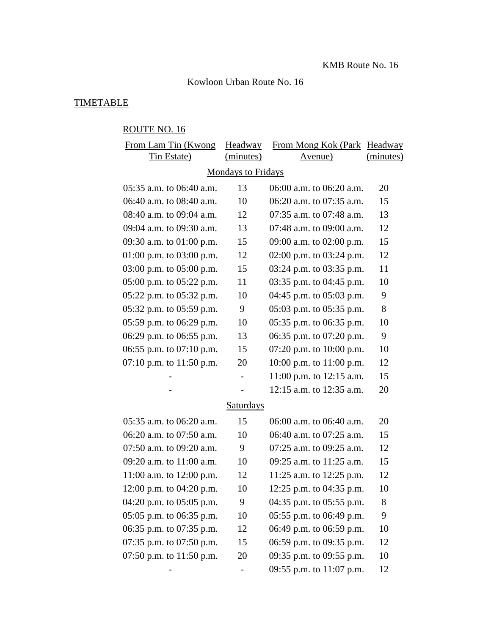### Kowloon Urban Route No. 16

# TIMETABLE

# ROUTE NO. 16

| From Lam Tin (Kwong        | Headway                   | From Mong Kok (Park Headway |           |  |
|----------------------------|---------------------------|-----------------------------|-----------|--|
| <b>Tin Estate</b> )        | (minutes)                 | <u>Avenue)</u>              | (minutes) |  |
|                            | <b>Mondays to Fridays</b> |                             |           |  |
| 05:35 a.m. to 06:40 a.m.   | 13                        | 06:00 a.m. to 06:20 a.m.    | 20        |  |
| 06:40 a.m. to 08:40 a.m.   | 10                        | 06:20 a.m. to 07:35 a.m.    | 15        |  |
| 08:40 a.m. to 09:04 a.m.   | 12                        | 07:35 a.m. to 07:48 a.m.    | 13        |  |
| 09:04 a.m. to 09:30 a.m.   | 13                        | 07:48 a.m. to 09:00 a.m.    | 12        |  |
| 09:30 a.m. to 01:00 p.m.   | 15                        | 09:00 a.m. to 02:00 p.m.    | 15        |  |
| 01:00 p.m. to 03:00 p.m.   | 12                        | 02:00 p.m. to $03:24$ p.m.  | 12        |  |
| 03:00 p.m. to $05:00$ p.m. | 15                        | 03:24 p.m. to 03:35 p.m.    | 11        |  |
| 05:00 p.m. to 05:22 p.m.   | 11                        | 03:35 p.m. to 04:45 p.m.    | 10        |  |
| 05:22 p.m. to 05:32 p.m.   | 10                        | 04:45 p.m. to $05:03$ p.m.  | 9         |  |
| 05:32 p.m. to 05:59 p.m.   | 9                         | 05:03 p.m. to 05:35 p.m.    | 8         |  |
| 05:59 p.m. to $06:29$ p.m. | 10                        | 05:35 p.m. to 06:35 p.m.    | 10        |  |
| 06:29 p.m. to 06:55 p.m.   | 13                        | 06:35 p.m. to 07:20 p.m.    | 9         |  |
| 06:55 p.m. to 07:10 p.m.   | 15                        | 07:20 p.m. to $10:00$ p.m.  | 10        |  |
| 07:10 p.m. to $11:50$ p.m. | 20                        | 10:00 p.m. to $11:00$ p.m.  | 12        |  |
|                            | $\overline{\phantom{0}}$  | 11:00 p.m. to $12:15$ a.m.  | 15        |  |
|                            |                           | 12:15 a.m. to 12:35 a.m.    | 20        |  |
| Saturdays                  |                           |                             |           |  |
| 05:35 a.m. to 06:20 a.m.   | 15                        | 06:00 a.m. to 06:40 a.m.    | 20        |  |
| 06:20 a.m. to $07:50$ a.m. | 10                        | 06:40 a.m. to 07:25 a.m.    | 15        |  |
| 07:50 a.m. to 09:20 a.m.   | 9                         | 07:25 a.m. to 09:25 a.m.    | 12        |  |
| 09:20 a.m. to 11:00 a.m.   | 10                        | 09:25 a.m. to 11:25 a.m.    | 15        |  |
| 11:00 a.m. to 12:00 p.m.   | 12                        | 11:25 a.m. to 12:25 p.m.    | 12        |  |
| 12:00 p.m. to 04:20 p.m.   | 10                        | 12:25 p.m. to 04:35 p.m.    | 10        |  |
| 04:20 p.m. to $05:05$ p.m. | 9                         | 04:35 p.m. to 05:55 p.m.    | 8         |  |
| 05:05 p.m. to 06:35 p.m.   | 10                        | 05:55 p.m. to 06:49 p.m.    | 9         |  |
| 06:35 p.m. to 07:35 p.m.   | 12                        | 06:49 p.m. to 06:59 p.m.    | 10        |  |
| 07:35 p.m. to $07:50$ p.m. | 15                        | 06:59 p.m. to 09:35 p.m.    | 12        |  |
| 07:50 p.m. to 11:50 p.m.   | 20                        | 09:35 p.m. to 09:55 p.m.    | 10        |  |
|                            |                           | 09:55 p.m. to 11:07 p.m.    | 12        |  |